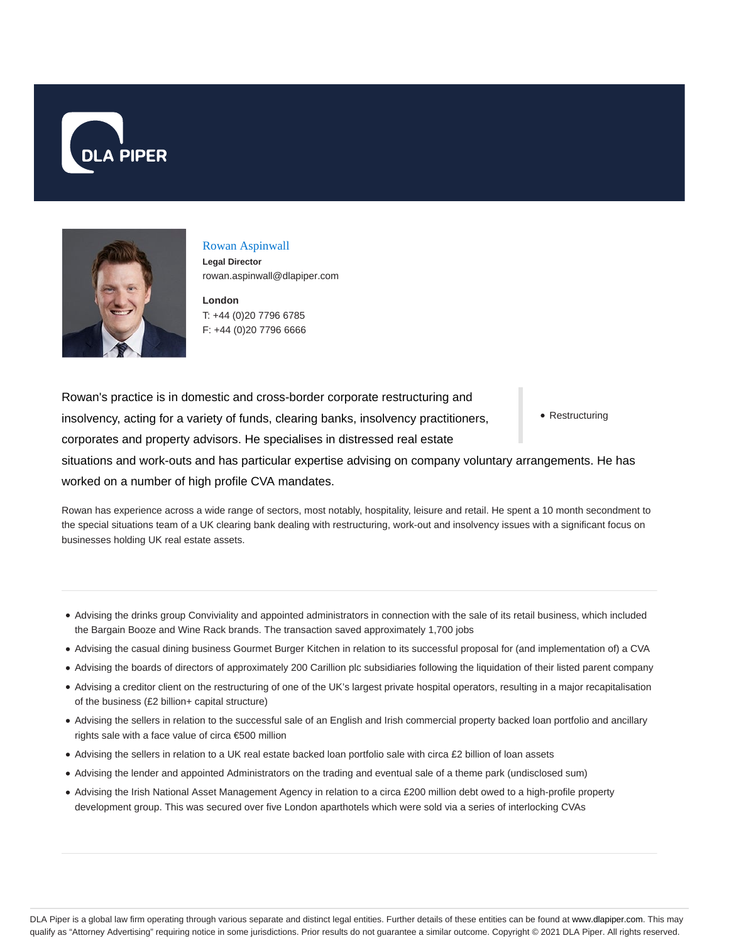



## Rowan Aspinwall

**Legal Director** rowan.aspinwall@dlapiper.com

**London** T: +44 (0)20 7796 6785 F: +44 (0)20 7796 6666

• Restructuring Rowan's practice is in domestic and cross-border corporate restructuring and insolvency, acting for a variety of funds, clearing banks, insolvency practitioners, corporates and property advisors. He specialises in distressed real estate situations and work-outs and has particular expertise advising on company voluntary arrangements. He has worked on a number of high profile CVA mandates.

Rowan has experience across a wide range of sectors, most notably, hospitality, leisure and retail. He spent a 10 month secondment to the special situations team of a UK clearing bank dealing with restructuring, work-out and insolvency issues with a significant focus on businesses holding UK real estate assets.

- Advising the drinks group Conviviality and appointed administrators in connection with the sale of its retail business, which included the Bargain Booze and Wine Rack brands. The transaction saved approximately 1,700 jobs
- Advising the casual dining business Gourmet Burger Kitchen in relation to its successful proposal for (and implementation of) a CVA
- Advising the boards of directors of approximately 200 Carillion plc subsidiaries following the liquidation of their listed parent company
- Advising a creditor client on the restructuring of one of the UK's largest private hospital operators, resulting in a major recapitalisation of the business (£2 billion+ capital structure)
- Advising the sellers in relation to the successful sale of an English and Irish commercial property backed loan portfolio and ancillary rights sale with a face value of circa €500 million
- Advising the sellers in relation to a UK real estate backed loan portfolio sale with circa £2 billion of loan assets
- Advising the lender and appointed Administrators on the trading and eventual sale of a theme park (undisclosed sum)
- Advising the Irish National Asset Management Agency in relation to a circa £200 million debt owed to a high-profile property development group. This was secured over five London aparthotels which were sold via a series of interlocking CVAs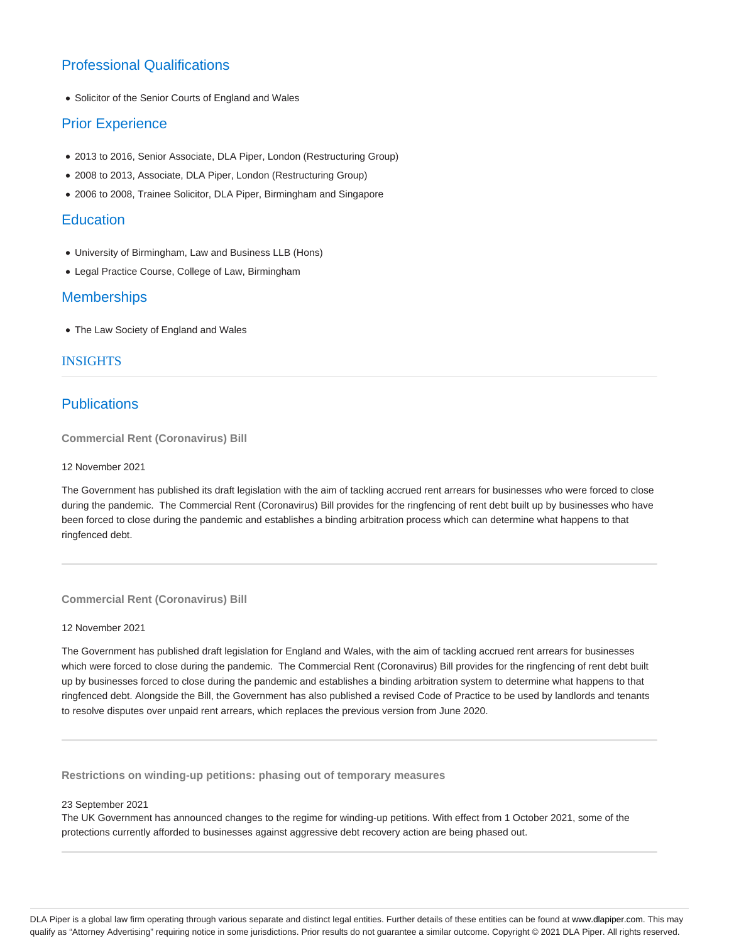# Professional Qualifications

Solicitor of the Senior Courts of England and Wales

## Prior Experience

- 2013 to 2016, Senior Associate, DLA Piper, London (Restructuring Group)
- 2008 to 2013, Associate, DLA Piper, London (Restructuring Group)
- 2006 to 2008, Trainee Solicitor, DLA Piper, Birmingham and Singapore

## **Education**

- University of Birmingham, Law and Business LLB (Hons)
- Legal Practice Course, College of Law, Birmingham

## **Memberships**

The Law Society of England and Wales

### INSIGHTS

## **Publications**

**Commercial Rent (Coronavirus) Bill**

#### 12 November 2021

The Government has published its draft legislation with the aim of tackling accrued rent arrears for businesses who were forced to close during the pandemic. The Commercial Rent (Coronavirus) Bill provides for the ringfencing of rent debt built up by businesses who have been forced to close during the pandemic and establishes a binding arbitration process which can determine what happens to that ringfenced debt.

#### **Commercial Rent (Coronavirus) Bill**

#### 12 November 2021

The Government has published draft legislation for England and Wales, with the aim of tackling accrued rent arrears for businesses which were forced to close during the pandemic. The Commercial Rent (Coronavirus) Bill provides for the ringfencing of rent debt built up by businesses forced to close during the pandemic and establishes a binding arbitration system to determine what happens to that ringfenced debt. Alongside the Bill, the Government has also published a revised Code of Practice to be used by landlords and tenants to resolve disputes over unpaid rent arrears, which replaces the previous version from June 2020.

**Restrictions on winding-up petitions: phasing out of temporary measures**

#### 23 September 2021

The UK Government has announced changes to the regime for winding-up petitions. With effect from 1 October 2021, some of the protections currently afforded to businesses against aggressive debt recovery action are being phased out.

DLA Piper is a global law firm operating through various separate and distinct legal entities. Further details of these entities can be found at www.dlapiper.com. This may qualify as "Attorney Advertising" requiring notice in some jurisdictions. Prior results do not guarantee a similar outcome. Copyright © 2021 DLA Piper. All rights reserved.